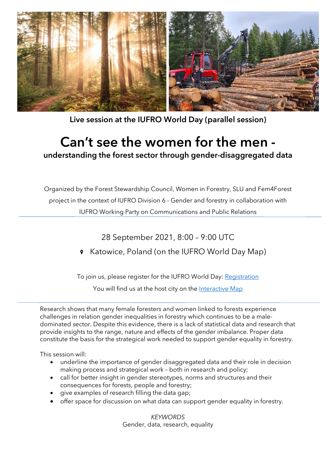

Live session at the IUFRO World Day (parallel session)

# Can't see the women for the men understanding the forest sector through gender-disaggregated data

Organized by the Forest Stewardship Council, Women in Forestry, SLU and Fem4Forest project in the context of IUFRO Division 6 - Gender and forestry in collaboration with IUFRO Working Party on Communications and Public Relations

28 September 2021, 8:00 – 9:00 UTC

**8** Katowice, Poland (on the IUFRO World Day Map)

To join us, please register for the IUFRO World Day: [Registration](https://www.iufroworldday.org/participation)

You will find us at the host city on the [Interactive Map](https://www.iufroworldday.org/interactive-map)

Research shows that many female foresters and women linked to forests experience challenges in relation gender inequalities in forestry which continues to be a maledominated sector. Despite this evidence, there is a lack of statistical data and research that provide insights to the range, nature and effects of the gender imbalance. Proper data constitute the basis for the strategical work needed to support gender equality in forestry.

This session will:

- underline the importance of gender disaggregated data and their role in decision making process and strategical work – both in research and policy;
- call for better insight in gender stereotypes, norms and structures and their consequences for forests, people and forestry;
- give examples of research filling the data gap;
- offer space for discussion on what data can support gender equality in forestry.

*KEYWORDS* Gender, data, research, equality